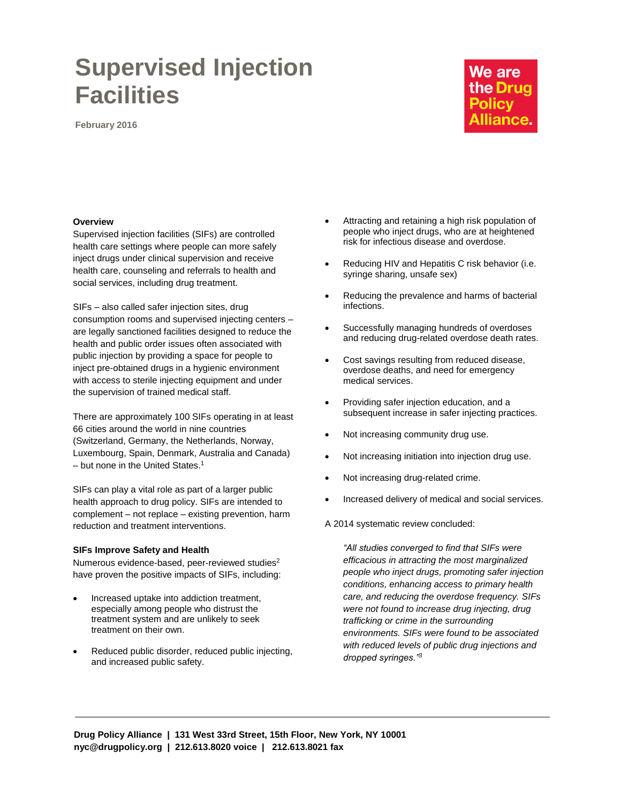# **Supervised Injection Facilities**

**February 2016**

# We are the Drug **Policy Alliance.**

# **Overview**

Supervised injection facilities (SIFs) are controlled health care settings where people can more safely inject drugs under clinical supervision and receive health care, counseling and referrals to health and social services, including drug treatment.

SIFs – also called safer injection sites, drug consumption rooms and supervised injecting centers – are legally sanctioned facilities designed to reduce the health and public order issues often associated with public injection by providing a space for people to inject pre-obtained drugs in a hygienic environment with access to sterile injecting equipment and under the supervision of trained medical staff.

There are approximately 100 SIFs operating in at least 66 cities around the world in nine countries (Switzerland, Germany, the Netherlands, Norway, Luxembourg, Spain, Denmark, Australia and Canada)  $-$  but none in the United States.<sup>1</sup>

SIFs can play a vital role as part of a larger public health approach to drug policy. SIFs are intended to complement – not replace – existing prevention, harm reduction and treatment interventions.

#### **SIFs Improve Safety and Health**

Numerous evidence-based, peer-reviewed studies<sup>2</sup> have proven the positive impacts of SIFs, including:

- Increased uptake into addiction treatment, especially among people who distrust the treatment system and are unlikely to seek treatment on their own.
- Reduced public disorder, reduced public injecting, and increased public safety.
- Attracting and retaining a high risk population of people who inject drugs, who are at heightened risk for infectious disease and overdose.
- Reducing HIV and Hepatitis C risk behavior (i.e. syringe sharing, unsafe sex)
- Reducing the prevalence and harms of bacterial infections.
- Successfully managing hundreds of overdoses and reducing drug-related overdose death rates.
- Cost savings resulting from reduced disease, overdose deaths, and need for emergency medical services.
- Providing safer injection education, and a subsequent increase in safer injecting practices.
- Not increasing community drug use.
- Not increasing initiation into injection drug use.
- Not increasing drug-related crime.
- Increased delivery of medical and social services.

A 2014 systematic review concluded:

*"All studies converged to find that SIFs were efficacious in attracting the most marginalized people who inject drugs, promoting safer injection conditions, enhancing access to primary health care, and reducing the overdose frequency. SIFs were not found to increase drug injecting, drug trafficking or crime in the surrounding environments. SIFs were found to be associated with reduced levels of public drug injections and dropped syringes."3*